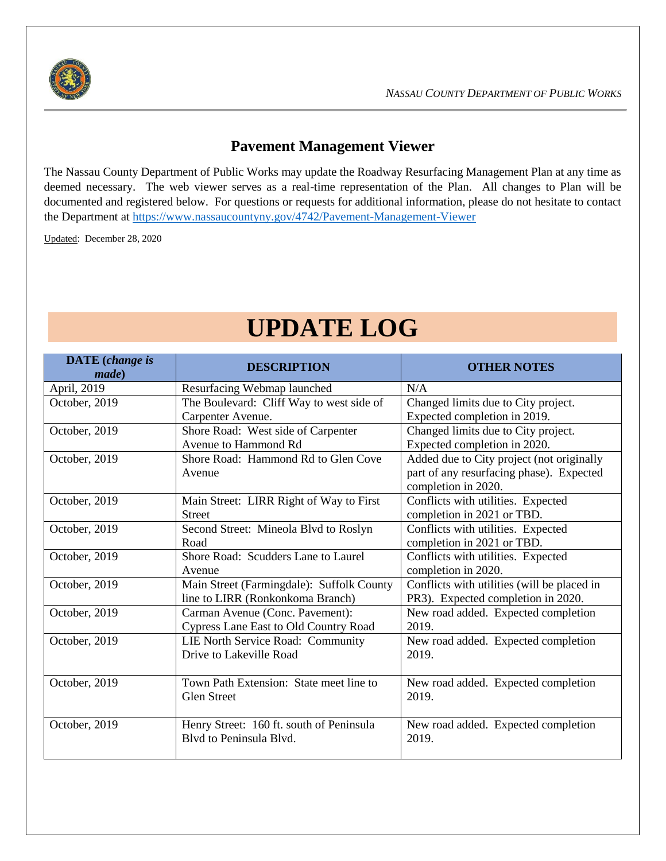

## **Pavement Management Viewer**

The Nassau County Department of Public Works may update the Roadway Resurfacing Management Plan at any time as deemed necessary. The web viewer serves as a real-time representation of the Plan. All changes to Plan will be documented and registered below. For questions or requests for additional information, please do not hesitate to contact the Department at<https://www.nassaucountyny.gov/4742/Pavement-Management-Viewer>

Updated: December 28, 2020

## **UPDATE LOG**

| <b>DATE</b> (change is<br><i>made</i> ) | <b>DESCRIPTION</b>                                                            | <b>OTHER NOTES</b>                                                                                           |
|-----------------------------------------|-------------------------------------------------------------------------------|--------------------------------------------------------------------------------------------------------------|
| April, 2019                             | Resurfacing Webmap launched                                                   | N/A                                                                                                          |
| October, 2019                           | The Boulevard: Cliff Way to west side of<br>Carpenter Avenue.                 | Changed limits due to City project.<br>Expected completion in 2019.                                          |
| October, 2019                           | Shore Road: West side of Carpenter<br>Avenue to Hammond Rd                    | Changed limits due to City project.<br>Expected completion in 2020.                                          |
| October, 2019                           | Shore Road: Hammond Rd to Glen Cove<br>Avenue                                 | Added due to City project (not originally<br>part of any resurfacing phase). Expected<br>completion in 2020. |
| October, 2019                           | Main Street: LIRR Right of Way to First<br><b>Street</b>                      | Conflicts with utilities. Expected<br>completion in 2021 or TBD.                                             |
| October, 2019                           | Second Street: Mineola Blvd to Roslyn<br>Road                                 | Conflicts with utilities. Expected<br>completion in 2021 or TBD.                                             |
| October, 2019                           | Shore Road: Scudders Lane to Laurel<br>Avenue                                 | Conflicts with utilities. Expected<br>completion in 2020.                                                    |
| October, 2019                           | Main Street (Farmingdale): Suffolk County<br>line to LIRR (Ronkonkoma Branch) | Conflicts with utilities (will be placed in<br>PR3). Expected completion in 2020.                            |
| October, 2019                           | Carman Avenue (Conc. Pavement):<br>Cypress Lane East to Old Country Road      | New road added. Expected completion<br>2019.                                                                 |
| October, 2019                           | LIE North Service Road: Community<br>Drive to Lakeville Road                  | New road added. Expected completion<br>2019.                                                                 |
| October, 2019                           | Town Path Extension: State meet line to<br><b>Glen Street</b>                 | New road added. Expected completion<br>2019.                                                                 |
| October, 2019                           | Henry Street: 160 ft. south of Peninsula<br>Blyd to Peninsula Blyd.           | New road added. Expected completion<br>2019.                                                                 |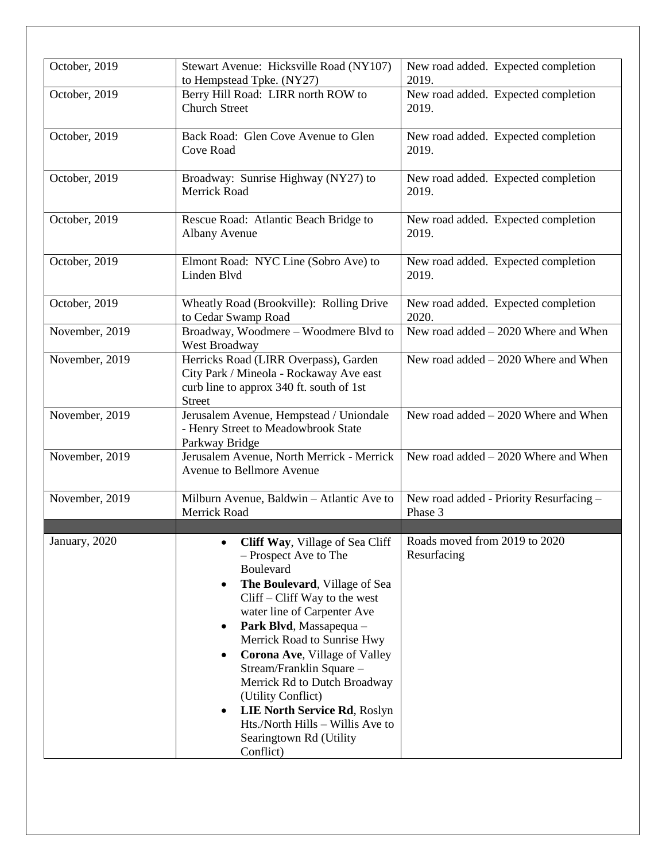| October, 2019  | Stewart Avenue: Hicksville Road (NY107)<br>to Hempstead Tpke. (NY27)                                                                                                                                                                                                                                                                                                                                                                                                                                                                 | New road added. Expected completion<br>2019.       |
|----------------|--------------------------------------------------------------------------------------------------------------------------------------------------------------------------------------------------------------------------------------------------------------------------------------------------------------------------------------------------------------------------------------------------------------------------------------------------------------------------------------------------------------------------------------|----------------------------------------------------|
| October, 2019  | Berry Hill Road: LIRR north ROW to<br><b>Church Street</b>                                                                                                                                                                                                                                                                                                                                                                                                                                                                           | New road added. Expected completion<br>2019.       |
| October, 2019  | Back Road: Glen Cove Avenue to Glen<br>Cove Road                                                                                                                                                                                                                                                                                                                                                                                                                                                                                     | New road added. Expected completion<br>2019.       |
| October, 2019  | Broadway: Sunrise Highway (NY27) to<br><b>Merrick Road</b>                                                                                                                                                                                                                                                                                                                                                                                                                                                                           | New road added. Expected completion<br>2019.       |
| October, 2019  | Rescue Road: Atlantic Beach Bridge to<br>Albany Avenue                                                                                                                                                                                                                                                                                                                                                                                                                                                                               | New road added. Expected completion<br>2019.       |
| October, 2019  | Elmont Road: NYC Line (Sobro Ave) to<br>Linden Blvd                                                                                                                                                                                                                                                                                                                                                                                                                                                                                  | New road added. Expected completion<br>2019.       |
| October, 2019  | Wheatly Road (Brookville): Rolling Drive<br>to Cedar Swamp Road                                                                                                                                                                                                                                                                                                                                                                                                                                                                      | New road added. Expected completion<br>2020.       |
| November, 2019 | Broadway, Woodmere - Woodmere Blvd to<br>West Broadway                                                                                                                                                                                                                                                                                                                                                                                                                                                                               | New road added $-2020$ Where and When              |
| November, 2019 | Herricks Road (LIRR Overpass), Garden<br>City Park / Mineola - Rockaway Ave east<br>curb line to approx 340 ft. south of 1st<br><b>Street</b>                                                                                                                                                                                                                                                                                                                                                                                        | New road added $-2020$ Where and When              |
| November, 2019 | Jerusalem Avenue, Hempstead / Uniondale<br>- Henry Street to Meadowbrook State<br>Parkway Bridge                                                                                                                                                                                                                                                                                                                                                                                                                                     | New road added $-2020$ Where and When              |
| November, 2019 | Jerusalem Avenue, North Merrick - Merrick<br>Avenue to Bellmore Avenue                                                                                                                                                                                                                                                                                                                                                                                                                                                               | New road added $-2020$ Where and When              |
| November, 2019 | Milburn Avenue, Baldwin – Atlantic Ave to<br><b>Merrick Road</b>                                                                                                                                                                                                                                                                                                                                                                                                                                                                     | New road added - Priority Resurfacing -<br>Phase 3 |
| January, 2020  | Cliff Way, Village of Sea Cliff<br>$\bullet$<br>- Prospect Ave to The<br>Boulevard<br>The Boulevard, Village of Sea<br>$\bullet$<br>$Cliff$ – $Cliff$ Way to the west<br>water line of Carpenter Ave<br>Park Blvd, Massapequa -<br>$\bullet$<br>Merrick Road to Sunrise Hwy<br>Corona Ave, Village of Valley<br>$\bullet$<br>Stream/Franklin Square -<br>Merrick Rd to Dutch Broadway<br>(Utility Conflict)<br>LIE North Service Rd, Roslyn<br>$\bullet$<br>Hts./North Hills - Willis Ave to<br>Searingtown Rd (Utility<br>Conflict) | Roads moved from 2019 to 2020<br>Resurfacing       |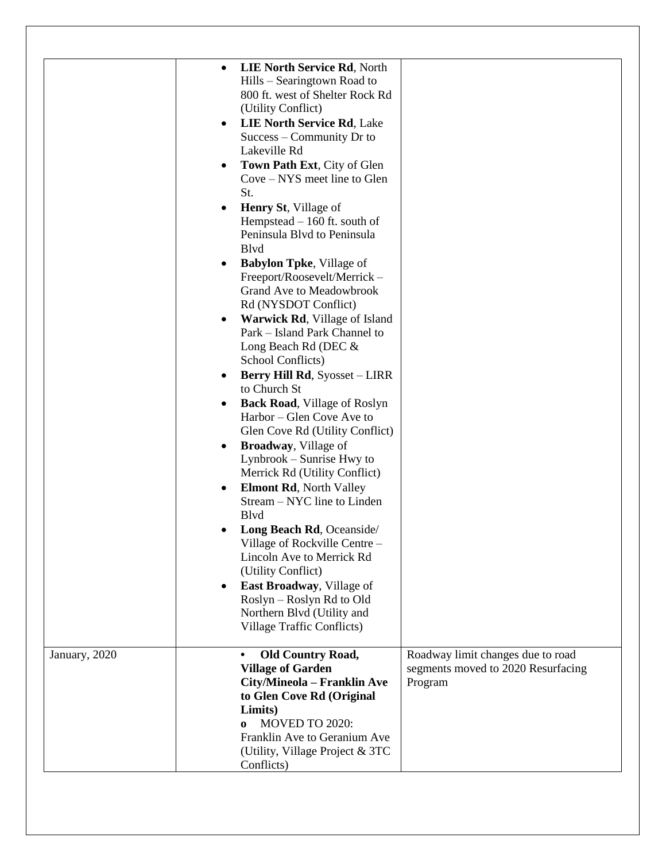|               | LIE North Service Rd, North<br>$\bullet$<br>Hills – Searingtown Road to<br>800 ft. west of Shelter Rock Rd<br>(Utility Conflict)<br>LIE North Service Rd, Lake<br>$\bullet$<br>Success – Community Dr to<br>Lakeville Rd<br>Town Path Ext, City of Glen<br>$\bullet$<br>Cove – NYS meet line to Glen<br>St.<br>Henry St, Village of<br>$\bullet$<br>Hempstead $-160$ ft. south of<br>Peninsula Blvd to Peninsula<br><b>B</b> lvd<br><b>Babylon Tpke</b> , Village of<br>$\bullet$<br>Freeport/Roosevelt/Merrick-<br><b>Grand Ave to Meadowbrook</b><br>Rd (NYSDOT Conflict)<br>Warwick Rd, Village of Island<br>$\bullet$<br>Park - Island Park Channel to<br>Long Beach Rd (DEC &<br>School Conflicts)<br><b>Berry Hill Rd, Syosset - LIRR</b><br>$\bullet$<br>to Church St<br><b>Back Road</b> , Village of Roslyn<br>$\bullet$<br>Harbor – Glen Cove Ave to<br>Glen Cove Rd (Utility Conflict)<br><b>Broadway</b> , Village of<br>$\bullet$<br>Lynbrook – Sunrise Hwy to<br>Merrick Rd (Utility Conflict)<br><b>Elmont Rd, North Valley</b><br>$\bullet$<br>Stream - NYC line to Linden<br><b>B</b> lvd<br>Long Beach Rd, Oceanside/<br>Village of Rockville Centre -<br>Lincoln Ave to Merrick Rd<br>(Utility Conflict)<br>East Broadway, Village of<br>$\bullet$<br>Roslyn – Roslyn Rd to Old<br>Northern Blvd (Utility and<br><b>Village Traffic Conflicts</b> ) |  |
|---------------|------------------------------------------------------------------------------------------------------------------------------------------------------------------------------------------------------------------------------------------------------------------------------------------------------------------------------------------------------------------------------------------------------------------------------------------------------------------------------------------------------------------------------------------------------------------------------------------------------------------------------------------------------------------------------------------------------------------------------------------------------------------------------------------------------------------------------------------------------------------------------------------------------------------------------------------------------------------------------------------------------------------------------------------------------------------------------------------------------------------------------------------------------------------------------------------------------------------------------------------------------------------------------------------------------------------------------------------------------------------------|--|
| January, 2020 | <b>Old Country Road,</b><br>Roadway limit changes due to road<br><b>Village of Garden</b><br>segments moved to 2020 Resurfacing<br>City/Mineola - Franklin Ave<br>Program<br>to Glen Cove Rd (Original<br>Limits)<br>MOVED TO 2020:<br>$\mathbf{0}$<br>Franklin Ave to Geranium Ave<br>(Utility, Village Project & 3TC<br>Conflicts)                                                                                                                                                                                                                                                                                                                                                                                                                                                                                                                                                                                                                                                                                                                                                                                                                                                                                                                                                                                                                                   |  |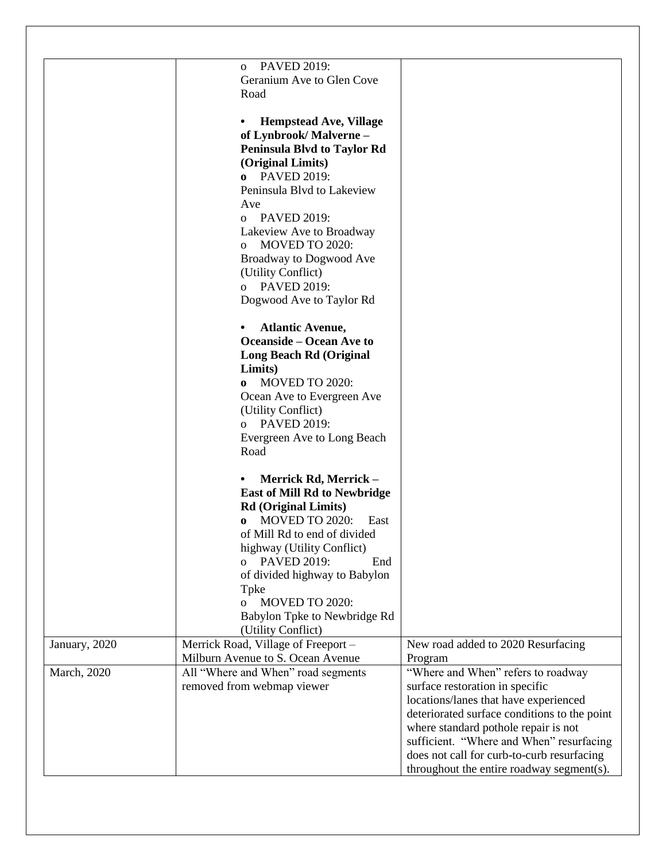|               | <b>PAVED 2019:</b><br>$\sigma$        |                                              |
|---------------|---------------------------------------|----------------------------------------------|
|               | Geranium Ave to Glen Cove             |                                              |
|               | Road                                  |                                              |
|               |                                       |                                              |
|               | <b>Hempstead Ave, Village</b><br>٠    |                                              |
|               | of Lynbrook/Malverne-                 |                                              |
|               | <b>Peninsula Blvd to Taylor Rd</b>    |                                              |
|               | (Original Limits)                     |                                              |
|               | <b>o</b> PAVED 2019:                  |                                              |
|               |                                       |                                              |
|               | Peninsula Blvd to Lakeview            |                                              |
|               | Ave                                   |                                              |
|               | o PAVED 2019:                         |                                              |
|               | Lakeview Ave to Broadway              |                                              |
|               | MOVED TO 2020:<br>$\Omega$            |                                              |
|               | <b>Broadway to Dogwood Ave</b>        |                                              |
|               | (Utility Conflict)                    |                                              |
|               | o PAVED 2019:                         |                                              |
|               | Dogwood Ave to Taylor Rd              |                                              |
|               |                                       |                                              |
|               | <b>Atlantic Avenue,</b>               |                                              |
|               | <b>Oceanside – Ocean Ave to</b>       |                                              |
|               | <b>Long Beach Rd (Original</b>        |                                              |
|               | Limits)                               |                                              |
|               | o MOVED TO 2020:                      |                                              |
|               | Ocean Ave to Evergreen Ave            |                                              |
|               | (Utility Conflict)                    |                                              |
|               | o PAVED 2019:                         |                                              |
|               | Evergreen Ave to Long Beach           |                                              |
|               | Road                                  |                                              |
|               |                                       |                                              |
|               | Merrick Rd, Merrick -                 |                                              |
|               | <b>East of Mill Rd to Newbridge</b>   |                                              |
|               | <b>Rd</b> (Original Limits)           |                                              |
|               | MOVED TO 2020:<br>East<br>$\bf{0}$    |                                              |
|               | of Mill Rd to end of divided          |                                              |
|               | highway (Utility Conflict)            |                                              |
|               | <b>PAVED 2019:</b><br>End<br>$\Omega$ |                                              |
|               | of divided highway to Babylon         |                                              |
|               | Tpke                                  |                                              |
|               | MOVED TO 2020:<br>$\overline{O}$      |                                              |
|               | Babylon Tpke to Newbridge Rd          |                                              |
|               | (Utility Conflict)                    |                                              |
| January, 2020 | Merrick Road, Village of Freeport -   | New road added to 2020 Resurfacing           |
|               | Milburn Avenue to S. Ocean Avenue     | Program                                      |
| March, 2020   | All "Where and When" road segments    | "Where and When" refers to roadway           |
|               | removed from webmap viewer            | surface restoration in specific              |
|               |                                       | locations/lanes that have experienced        |
|               |                                       | deteriorated surface conditions to the point |
|               |                                       | where standard pothole repair is not         |
|               |                                       | sufficient. "Where and When" resurfacing     |
|               |                                       | does not call for curb-to-curb resurfacing   |
|               |                                       | throughout the entire roadway segment(s).    |
|               |                                       |                                              |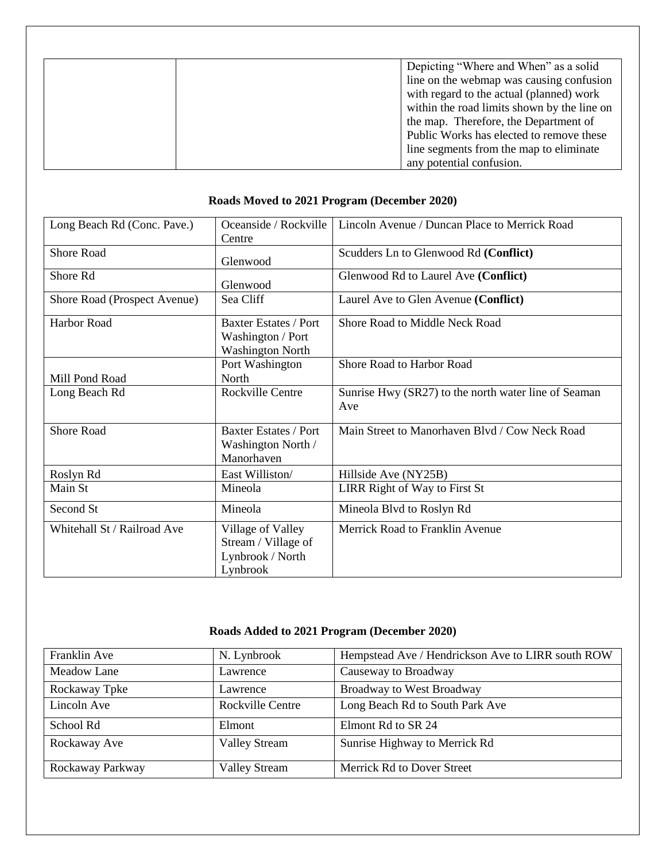| Depicting "Where and When" as a solid       |
|---------------------------------------------|
| line on the webmap was causing confusion    |
| with regard to the actual (planned) work    |
| within the road limits shown by the line on |
| the map. Therefore, the Department of       |
| Public Works has elected to remove these    |
| line segments from the map to eliminate     |
| any potential confusion.                    |

## **Roads Moved to 2021 Program (December 2020)**

| Long Beach Rd (Conc. Pave.)  | Oceanside / Rockville<br>Centre                                              | Lincoln Avenue / Duncan Place to Merrick Road               |
|------------------------------|------------------------------------------------------------------------------|-------------------------------------------------------------|
| Shore Road                   | Glenwood                                                                     | Scudders Ln to Glenwood Rd (Conflict)                       |
| Shore Rd                     | Glenwood                                                                     | Glenwood Rd to Laurel Ave (Conflict)                        |
| Shore Road (Prospect Avenue) | Sea Cliff                                                                    | Laurel Ave to Glen Avenue (Conflict)                        |
| Harbor Road                  | <b>Baxter Estates / Port</b><br>Washington / Port<br><b>Washington North</b> | Shore Road to Middle Neck Road                              |
| Mill Pond Road               | Port Washington<br>North                                                     | Shore Road to Harbor Road                                   |
| Long Beach Rd                | <b>Rockville Centre</b>                                                      | Sunrise Hwy (SR27) to the north water line of Seaman<br>Ave |
| <b>Shore Road</b>            | <b>Baxter Estates / Port</b><br>Washington North /<br>Manorhaven             | Main Street to Manorhaven Blvd / Cow Neck Road              |
| Roslyn Rd                    | East Williston                                                               | Hillside Ave (NY25B)                                        |
| Main St                      | Mineola                                                                      | LIRR Right of Way to First St                               |
| Second St                    | Mineola                                                                      | Mineola Blvd to Roslyn Rd                                   |
| Whitehall St / Railroad Ave  | Village of Valley<br>Stream / Village of<br>Lynbrook / North<br>Lynbrook     | Merrick Road to Franklin Avenue                             |

## **Roads Added to 2021 Program (December 2020)**

| Franklin Ave     | N. Lynbrook          | Hempstead Ave / Hendrickson Ave to LIRR south ROW |
|------------------|----------------------|---------------------------------------------------|
| Meadow Lane      | Lawrence             | Causeway to Broadway                              |
| Rockaway Tpke    | Lawrence             | <b>Broadway to West Broadway</b>                  |
| Lincoln Ave      | Rockville Centre     | Long Beach Rd to South Park Ave                   |
| School Rd        | Elmont               | Elmont Rd to SR 24                                |
| Rockaway Ave     | <b>Valley Stream</b> | Sunrise Highway to Merrick Rd                     |
| Rockaway Parkway | <b>Valley Stream</b> | Merrick Rd to Dover Street                        |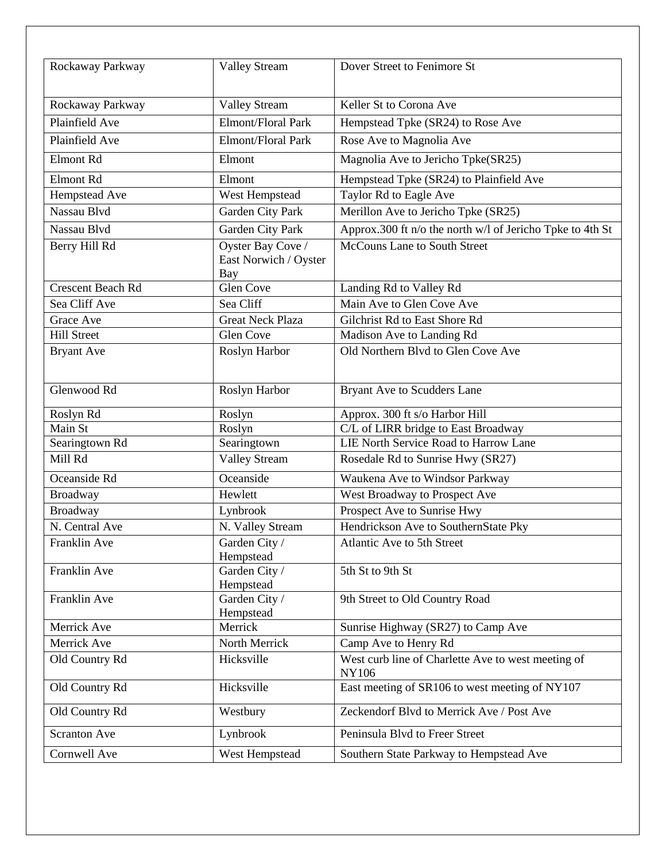| Rockaway Parkway    | <b>Valley Stream</b>                              | Dover Street to Fenimore St                                        |
|---------------------|---------------------------------------------------|--------------------------------------------------------------------|
| Rockaway Parkway    | <b>Valley Stream</b>                              | Keller St to Corona Ave                                            |
| Plainfield Ave      | Elmont/Floral Park                                | Hempstead Tpke (SR24) to Rose Ave                                  |
| Plainfield Ave      | Elmont/Floral Park                                | Rose Ave to Magnolia Ave                                           |
|                     |                                                   |                                                                    |
| Elmont Rd           | Elmont                                            | Magnolia Ave to Jericho Tpke(SR25)                                 |
| Elmont Rd           | Elmont                                            | Hempstead Tpke (SR24) to Plainfield Ave                            |
| Hempstead Ave       | West Hempstead                                    | Taylor Rd to Eagle Ave                                             |
| Nassau Blvd         | Garden City Park                                  | Merillon Ave to Jericho Tpke (SR25)                                |
| Nassau Blvd         | Garden City Park                                  | Approx.300 ft n/o the north w/l of Jericho Tpke to 4th St          |
| Berry Hill Rd       | Oyster Bay Cove /<br>East Norwich / Oyster<br>Bay | McCouns Lane to South Street                                       |
| Crescent Beach Rd   | <b>Glen Cove</b>                                  | Landing Rd to Valley Rd                                            |
| Sea Cliff Ave       | Sea Cliff                                         | Main Ave to Glen Cove Ave                                          |
| Grace Ave           | <b>Great Neck Plaza</b>                           | Gilchrist Rd to East Shore Rd                                      |
| <b>Hill Street</b>  | Glen Cove                                         | Madison Ave to Landing Rd                                          |
| <b>Bryant Ave</b>   | Roslyn Harbor                                     | Old Northern Blvd to Glen Cove Ave                                 |
| Glenwood Rd         | Roslyn Harbor                                     | Bryant Ave to Scudders Lane                                        |
| Roslyn Rd           | Roslyn                                            | Approx. 300 ft s/o Harbor Hill                                     |
| Main St             | Roslyn                                            | C/L of LIRR bridge to East Broadway                                |
| Searingtown Rd      | Searingtown                                       | LIE North Service Road to Harrow Lane                              |
| Mill Rd             | <b>Valley Stream</b>                              | Rosedale Rd to Sunrise Hwy (SR27)                                  |
| Oceanside Rd        | Oceanside                                         | Waukena Ave to Windsor Parkway                                     |
| <b>Broadway</b>     | Hewlett                                           | West Broadway to Prospect Ave                                      |
| Broadway            | Lynbrook                                          | Prospect Ave to Sunrise Hwy                                        |
| N. Central Ave      | N. Valley Stream                                  | Hendrickson Ave to SouthernState Pky                               |
| Franklin Ave        | Garden City /<br>Hempstead                        | Atlantic Ave to 5th Street                                         |
| Franklin Ave        | Garden City /<br>Hempstead                        | 5th St to 9th St                                                   |
| Franklin Ave        | Garden City /<br>Hempstead                        | 9th Street to Old Country Road                                     |
| Merrick Ave         | Merrick                                           | Sunrise Highway (SR27) to Camp Ave                                 |
| Merrick Ave         | North Merrick                                     | Camp Ave to Henry Rd                                               |
| Old Country Rd      | Hicksville                                        | West curb line of Charlette Ave to west meeting of<br><b>NY106</b> |
| Old Country Rd      | Hicksville                                        | East meeting of SR106 to west meeting of NY107                     |
| Old Country Rd      | Westbury                                          | Zeckendorf Blvd to Merrick Ave / Post Ave                          |
| <b>Scranton Ave</b> | Lynbrook                                          | Peninsula Blvd to Freer Street                                     |
| Cornwell Ave        | West Hempstead                                    | Southern State Parkway to Hempstead Ave                            |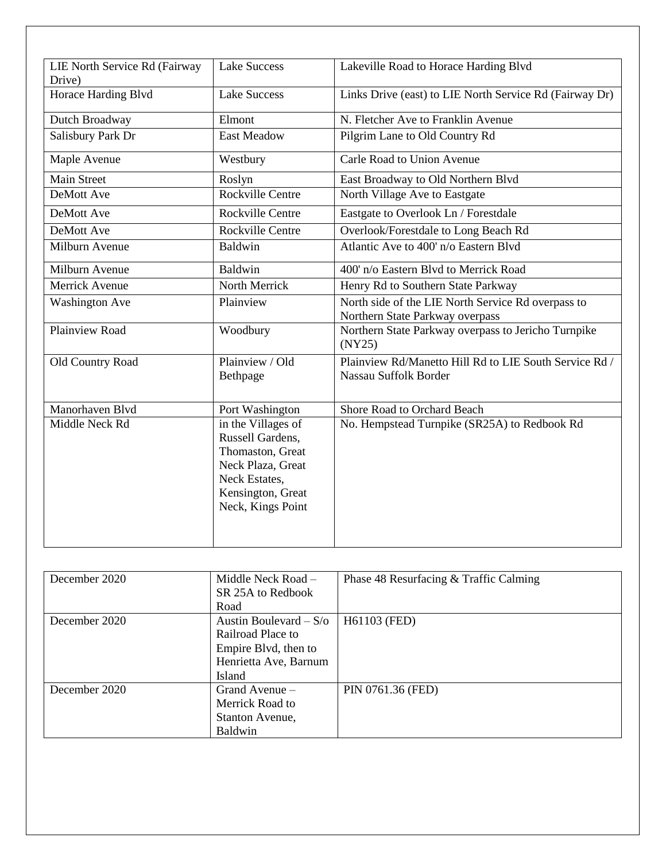| LIE North Service Rd (Fairway | <b>Lake Success</b>                                                                                                                        | Lakeville Road to Horace Harding Blvd                                           |
|-------------------------------|--------------------------------------------------------------------------------------------------------------------------------------------|---------------------------------------------------------------------------------|
| Drive)                        |                                                                                                                                            |                                                                                 |
| Horace Harding Blvd           | <b>Lake Success</b>                                                                                                                        | Links Drive (east) to LIE North Service Rd (Fairway Dr)                         |
| Dutch Broadway                | Elmont                                                                                                                                     | N. Fletcher Ave to Franklin Avenue                                              |
| Salisbury Park Dr             | <b>East Meadow</b>                                                                                                                         | Pilgrim Lane to Old Country Rd                                                  |
| Maple Avenue                  | Westbury                                                                                                                                   | <b>Carle Road to Union Avenue</b>                                               |
| <b>Main Street</b>            | Roslyn                                                                                                                                     | East Broadway to Old Northern Blvd                                              |
| DeMott Ave                    | Rockville Centre                                                                                                                           | North Village Ave to Eastgate                                                   |
| <b>DeMott Ave</b>             | <b>Rockville Centre</b>                                                                                                                    | Eastgate to Overlook Ln / Forestdale                                            |
| DeMott Ave                    | Rockville Centre                                                                                                                           | Overlook/Forestdale to Long Beach Rd                                            |
| Milburn Avenue                | Baldwin                                                                                                                                    | Atlantic Ave to 400' n/o Eastern Blvd                                           |
| Milburn Avenue                | Baldwin                                                                                                                                    | 400' n/o Eastern Blvd to Merrick Road                                           |
| Merrick Avenue                | North Merrick                                                                                                                              | Henry Rd to Southern State Parkway                                              |
| <b>Washington Ave</b>         | Plainview                                                                                                                                  | North side of the LIE North Service Rd overpass to                              |
|                               |                                                                                                                                            | Northern State Parkway overpass                                                 |
| Plainview Road                | Woodbury                                                                                                                                   | Northern State Parkway overpass to Jericho Turnpike<br>(NY25)                   |
| Old Country Road              | Plainview / Old<br>Bethpage                                                                                                                | Plainview Rd/Manetto Hill Rd to LIE South Service Rd /<br>Nassau Suffolk Border |
| Manorhaven Blvd               | Port Washington                                                                                                                            | Shore Road to Orchard Beach                                                     |
| Middle Neck Rd                | in the Villages of<br>Russell Gardens,<br>Thomaston, Great<br>Neck Plaza, Great<br>Neck Estates,<br>Kensington, Great<br>Neck, Kings Point | No. Hempstead Turnpike (SR25A) to Redbook Rd                                    |

| December 2020 | Middle Neck Road -<br>SR 25A to Redbook<br>Road                                                          | Phase 48 Resurfacing & Traffic Calming |
|---------------|----------------------------------------------------------------------------------------------------------|----------------------------------------|
| December 2020 | Austin Boulevard $-S$ /o<br>Railroad Place to<br>Empire Blvd, then to<br>Henrietta Ave, Barnum<br>Island | H61103 (FED)                           |
| December 2020 | Grand Avenue -<br>Merrick Road to<br>Stanton Avenue,<br>Baldwin                                          | PIN 0761.36 (FED)                      |